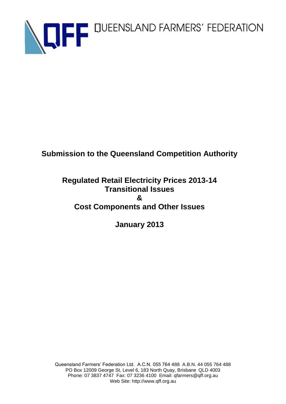

# **Submission to the Queensland Competition Authority**

# **Regulated Retail Electricity Prices 2013-14 Transitional Issues & Cost Components and Other Issues**

# **January 2013**

Queensland Farmers' Federation Ltd. A.C.N. 055 764 488 A.B.N. 44 055 764 488 PO Box 12009 George St, Level 6, 183 North Quay, Brisbane QLD 4003 Phone: 07 3837 4747 Fax: 07 3236 4100 Email: qfarmers@qff.org.au Web Site: http://www.qff.org.au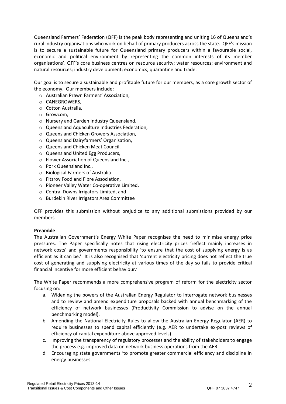Queensland Farmers' Federation (QFF) is the peak body representing and uniting 16 of Queensland's rural industry organisations who work on behalf of primary producers across the state. QFF's mission is to secure a sustainable future for Queensland primary producers within a favourable social, economic and political environment by representing the common interests of its member organisations'. QFF's core business centres on resource security; water resources; environment and natural resources; industry development; economics; quarantine and trade.

Our goal is to secure a sustainable and profitable future for our members, as a core growth sector of the economy. Our members include:

- o Australian Prawn Farmers' Association,
- o CANEGROWERS,
- o Cotton Australia,
- o Growcom,
- o Nursery and Garden Industry Queensland,
- o Queensland Aquaculture Industries Federation,
- o Queensland Chicken Growers Association,
- o Queensland Dairyfarmers' Organisation,
- o Queensland Chicken Meat Council,
- o Queensland United Egg Producers,
- o Flower Association of Queensland Inc.,
- o Pork Queensland Inc.,
- o Biological Farmers of Australia
- o Fitzroy Food and Fibre Association,
- o Pioneer Valley Water Co-operative Limited,
- o Central Downs Irrigators Limited, and
- o Burdekin River Irrigators Area Committee

QFF provides this submission without prejudice to any additional submissions provided by our members.

# **Preamble**

The Australian Government's Energy White Paper recognises the need to minimise energy price pressures. The Paper specifically notes that rising electricity prices 'reflect mainly increases in network costs' and governments responsibility 'to ensure that the cost of supplying energy is as efficient as it can be.' It is also recognised that 'current electricity pricing does not reflect the true cost of generating and supplying electricity at various times of the day so fails to provide critical financial incentive for more efficient behaviour.'

The White Paper recommends a more comprehensive program of reform for the electricity sector focusing on:

- a. Widening the powers of the Australian Energy Regulator to interrogate network businesses and to review and amend expenditure proposals backed with annual benchmarking of the efficiency of network businesses (Productivity Commission to advise on the annual benchmarking model).
- b. Amending the National Electricity Rules to allow the Australian Energy Regulator (AER) to require businesses to spend capital efficiently (e.g. AER to undertake ex-post reviews of efficiency of capital expenditure above approved levels).
- c. Improving the transparency of regulatory processes and the ability of stakeholders to engage the process e.g. improved data on network business operations from the AER.
- d. Encouraging state governments 'to promote greater commercial efficiency and discipline in energy businesses.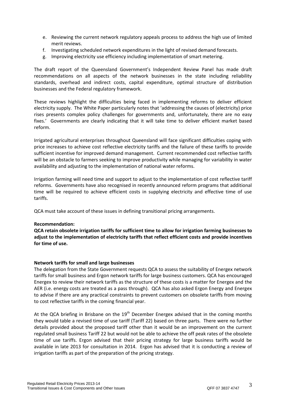- e. Reviewing the current network regulatory appeals process to address the high use of limited merit reviews.
- f. Investigating scheduled network expenditures in the light of revised demand forecasts.
- g. Improving electricity use efficiency including implementation of smart metering.

The draft report of the Queensland Government's Independent Review Panel has made draft recommendations on all aspects of the network businesses in the state including reliability standards, overhead and indirect costs, capital expenditure, optimal structure of distribution businesses and the Federal regulatory framework.

These reviews highlight the difficulties being faced in implementing reforms to deliver efficient electricity supply. The White Paper particularly notes that 'addressing the causes of (electricity) price rises presents complex policy challenges for governments and, unfortunately, there are no easy fixes.' Governments are clearly indicating that it will take time to deliver efficient market based reform.

Irrigated agricultural enterprises throughout Queensland will face significant difficulties coping with price increases to achieve cost reflective electricity tariffs and the failure of these tariffs to provide sufficient incentive for improved demand management. Current recommended cost reflective tariffs will be an obstacle to farmers seeking to improve productivity while managing for variability in water availability and adjusting to the implementation of national water reforms.

Irrigation farming will need time and support to adjust to the implementation of cost reflective tariff reforms. Governments have also recognised in recently announced reform programs that additional time will be required to achieve efficient costs in supplying electricity and effective time of use tariffs.

QCA must take account of these issues in defining transitional pricing arrangements.

# **Recommendation:**

**QCA retain obsolete irrigation tariffs for sufficient time to allow for irrigation farming businesses to adjust to the implementation of electricity tariffs that reflect efficient costs and provide incentives for time of use.**

# **Network tariffs for small and large businesses**

The delegation from the State Government requests QCA to assess the suitability of Energex network tariffs for small business and Ergon network tariffs for large business customers. QCA has encouraged Energex to review their network tariffs as the structure of these costs is a matter for Energex and the AER (i.e. energy costs are treated as a pass through). QCA has also asked Ergon Energy and Energex to advise if there are any practical constraints to prevent customers on obsolete tariffs from moving to cost reflective tariffs in the coming financial year.

At the QCA briefing in Brisbane on the  $19<sup>th</sup>$  December Energex advised that in the coming months they would table a revised time of use tariff (Tariff 22) based on three parts. There were no further details provided about the proposed tariff other than it would be an improvement on the current regulated small business Tariff 22 but would not be able to achieve the off peak rates of the obsolete time of use tariffs. Ergon advised that their pricing strategy for large business tariffs would be available in late 2013 for consultation in 2014. Ergon has advised that it is conducting a review of irrigation tariffs as part of the preparation of the pricing strategy.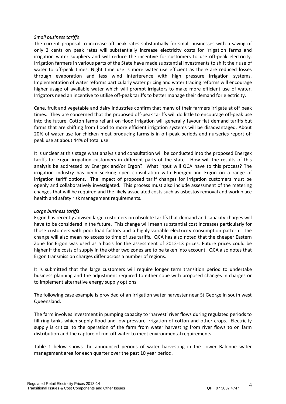# *Small business tariffs*

The current proposal to increase off peak rates substantially for small businesses with a saving of only 2 cents on peak rates will substantially increase electricity costs for irrigation farms and irrigation water suppliers and will reduce the incentive for customers to use off-peak electricity. Irrigation farmers in various parts of the State have made substantial investments to shift their use of water to off-peak times. Night time use is more water use efficient as there are reduced losses through evaporation and less wind interference with high pressure irrigation systems. Implementation of water reforms particularly water pricing and water trading reforms will encourage higher usage of available water which will prompt irrigators to make more efficient use of water. Irrigators need an incentive to utilise off-peak tariffs to better manage their demand for electricity.

Cane, fruit and vegetable and dairy industries confirm that many of their farmers irrigate at off peak times. They are concerned that the proposed off-peak tariffs will do little to encourage off-peak use into the future. Cotton farms reliant on flood irrigation will generally favour flat demand tariffs but farms that are shifting from flood to more efficient irrigation systems will be disadvantaged. About 20% of water use for chicken meat producing farms is in off-peak periods and nurseries report off peak use at about 44% of total use.

It is unclear at this stage what analysis and consultation will be conducted into the proposed Energex tariffs for Ergon irrigation customers in different parts of the state. How will the results of this analysis be addressed by Energex and/or Ergon? What input will QCA have to this process? The irrigation industry has been seeking open consultation with Energex and Ergon on a range of irrigation tariff options. The impact of proposed tariff changes for irrigation customers must be openly and collaboratively investigated. This process must also include assessment of the metering changes that will be required and the likely associated costs such as asbestos removal and work place health and safety risk management requirements.

# *Large business tariffs*

Ergon has recently advised large customers on obsolete tariffs that demand and capacity charges will have to be considered in the future. This change will mean substantial cost increases particularly for those customers with poor load factors and a highly variable electricity consumption pattern. The change will also mean no access to time of use tariffs. QCA has also noted that the cheaper Eastern Zone for Ergon was used as a basis for the assessment of 2012-13 prices. Future prices could be higher if the costs of supply in the other two zones are to be taken into account. QCA also notes that Ergon transmission charges differ across a number of regions.

It is submitted that the large customers will require longer term transition period to undertake business planning and the adjustment required to either cope with proposed changes in charges or to implement alternative energy supply options.

The following case example is provided of an irrigation water harvester near St George in south west Queensland.

The farm involves investment in pumping capacity to 'harvest' river flows during regulated periods to fill ring tanks which supply flood and low pressure irrigation of cotton and other crops. Electricity supply is critical to the operation of the farm from water harvesting from river flows to on farm distribution and the capture of run-off water to meet environmental requirements.

Table 1 below shows the announced periods of water harvesting in the Lower Balonne water management area for each quarter over the past 10 year period.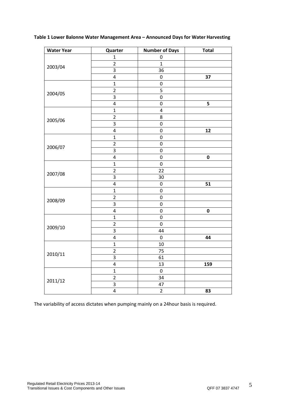| Table 1 Lower Balonne Water Management Area – Announced Days for Water Harvesting |  |  |  |  |  |  |
|-----------------------------------------------------------------------------------|--|--|--|--|--|--|
|-----------------------------------------------------------------------------------|--|--|--|--|--|--|

| <b>Water Year</b> | Quarter                 | <b>Number of Days</b> | <b>Total</b> |
|-------------------|-------------------------|-----------------------|--------------|
|                   | $\mathbf{1}$            | $\pmb{0}$             |              |
| 2003/04           | $\overline{\mathbf{c}}$ | $\mathbf 1$           |              |
|                   | 3                       | 36                    |              |
|                   | $\pmb{4}$               | $\boldsymbol{0}$      | 37           |
|                   | $\mathbf{1}$            | $\boldsymbol{0}$      |              |
| 2004/05           | $\overline{c}$          | 5                     |              |
|                   | $\overline{\mathbf{3}}$ | $\boldsymbol{0}$      |              |
|                   | $\pmb{4}$               | $\boldsymbol{0}$      | 5            |
|                   | $\mathbf 1$             | $\pmb{4}$             |              |
| 2005/06           | $\mathbf 2$             | 8                     |              |
|                   | 3                       | $\pmb{0}$             |              |
|                   | $\pmb{4}$               | 0                     | 12           |
|                   | $\mathbf 1$             | $\boldsymbol{0}$      |              |
| 2006/07           | $\overline{2}$          | 0                     |              |
|                   | $\overline{3}$          | 0                     |              |
|                   | $\pmb{4}$               | 0                     | $\pmb{0}$    |
|                   | $\mathbf{1}$            | 0                     |              |
| 2007/08           | $\overline{2}$          | 22                    |              |
|                   | $\overline{3}$          | 30                    |              |
|                   | $\overline{\mathbf{r}}$ | $\pmb{0}$             | 51           |
|                   | $\mathbf{1}$            | 0                     |              |
|                   | $\overline{\mathbf{c}}$ | 0                     |              |
| 2008/09           | 3                       | $\boldsymbol{0}$      |              |
|                   | $\overline{\mathbf{r}}$ | 0                     | $\pmb{0}$    |
|                   | $\mathbf{1}$            | 0                     |              |
|                   | $\overline{2}$          | $\pmb{0}$             |              |
| 2009/10           | $\overline{\mathbf{3}}$ | 44                    |              |
|                   | $\pmb{4}$               | $\pmb{0}$             | 44           |
|                   | $\mathbf{1}$            | 10                    |              |
|                   | $\overline{2}$          | 75                    |              |
| 2010/11           | 3                       | 61                    |              |
|                   | $\pmb{4}$               | 13                    | 159          |
|                   | $\mathbf{1}$            | $\pmb{0}$             |              |
|                   | $\overline{2}$          | 34                    |              |
| 2011/12           | $\overline{3}$          | 47                    |              |
|                   | $\overline{\mathbf{r}}$ | $\overline{2}$        | 83           |

The variability of access dictates when pumping mainly on a 24hour basis is required.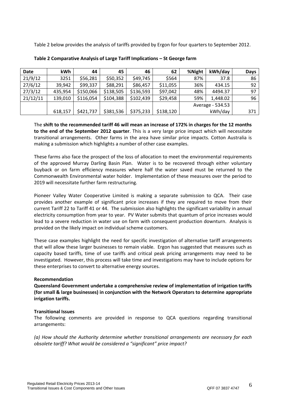Table 2 below provides the analysis of tariffs provided by Ergon for four quarters to September 2012.

| <b>Date</b> | kWh     | 44        | 45        | 46        | 62        | %Night           | kWh/day  | Days |
|-------------|---------|-----------|-----------|-----------|-----------|------------------|----------|------|
| 21/9/12     | 3251    | \$56,281  | \$50,352  | \$49,745  | \$564     | 87%              | 37.8     | 86   |
| 27/6/12     | 39,942  | \$99,337  | \$88,291  | \$86,457  | \$11,055  | 36%              | 434.15   | 92   |
| 27/3/12     | 435,954 | \$150,066 | \$138,505 | \$136,593 | \$97,042  | 48%              | 4494.37  | 97   |
| 21/12/11    | 139,010 | \$116,054 | \$104,388 | \$102,439 | \$29,458  | 59%              | 1,448.02 | 96   |
|             |         |           |           |           |           | Average - 534.53 |          |      |
|             | 618,157 | \$421,737 | \$381,536 | \$375,233 | \$138,120 | kWh/day          |          | 371  |

| Table 2 Comparative Analysis of Large Tariff Implications - St George farm |  |  |
|----------------------------------------------------------------------------|--|--|
|                                                                            |  |  |

The **shift to the recommended tariff 46 will mean an increase of 172% in charges for the 12 months to the end of the September 2012 quarter**. This is a very large price impact which will necessitate transitional arrangements. Other farms in the area have similar price impacts. Cotton Australia is making a submission which highlights a number of other case examples.

These farms also face the prospect of the loss of allocation to meet the environmental requirements of the approved Murray Darling Basin Plan. Water is to be recovered through either voluntary buyback or on farm efficiency measures where half the water saved must be returned to the Commonwealth Environmental water holder. Implementation of these measures over the period to 2019 will necessitate further farm restructuring.

Pioneer Valley Water Cooperative Limited is making a separate submission to QCA. Their case provides another example of significant price increases if they are required to move from their current Tariff 22 to Tariff 41 or 44. The submission also highlights the significant variability in annual electricity consumption from year to year. PV Water submits that quantum of price increases would lead to a severe reduction in water use on farm with consequent production downturn. Analysis is provided on the likely impact on individual scheme customers.

These case examples highlight the need for specific investigation of alternative tariff arrangements that will allow these larger businesses to remain viable. Ergon has suggested that measures such as capacity based tariffs, time of use tariffs and critical peak pricing arrangements may need to be investigated. However, this process will take time and investigations may have to include options for these enterprises to convert to alternative energy sources.

# **Recommendation**

**Queensland Government undertake a comprehensive review of implementation of irrigation tariffs (for small & large businesses) in conjunction with the Network Operators to determine appropriate irrigation tariffs.**

# **Transitional Issues**

The following comments are provided in response to QCA questions regarding transitional arrangements:

*(a) How should the Authority determine whether transitional arrangements are necessary for each obsolete tariff? What would be considered a "significant" price impact?*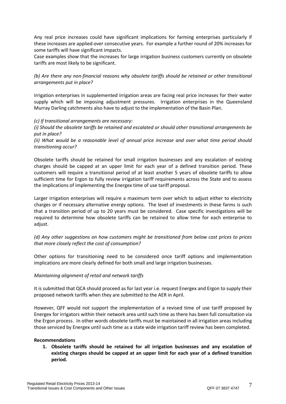Any real price increases could have significant implications for farming enterprises particularly if these increases are applied over consecutive years. For example a further round of 20% increases for some tariffs will have significant impacts.

Case examples show that the increases for large irrigation business customers currently on obsolete tariffs are most likely to be significant.

*(b) Are there any non-financial reasons why obsolete tariffs should be retained or other transitional arrangements put in place?*

Irrigation enterprises in supplemented irrigation areas are facing real price increases for their water supply which will be imposing adjustment pressures. Irrigation enterprises in the Queensland Murray Darling catchments also have to adjust to the implementation of the Basin Plan.

# *(c) If transitional arrangements are necessary:*

*(i) Should the obsolete tariffs be retained and escalated or should other transitional arrangements be put in place?*

*(ii) What would be a reasonable level of annual price increase and over what time period should transitioning occur?*

Obsolete tariffs should be retained for small irrigation businesses and any escalation of existing charges should be capped at an upper limit for each year of a defined transition period. These customers will require a transitional period of at least another 5 years of obsolete tariffs to allow sufficient time for Ergon to fully review irrigation tariff requirements across the State and to assess the implications of implementing the Energex time of use tariff proposal.

Larger irrigation enterprises will require a maximum term over which to adjust either to electricity charges or if necessary alternative energy options. The level of investments in these farms is such that a transition period of up to 20 years must be considered. Case specific investigations will be required to determine how obsolete tariffs can be retained to allow time for each enterprise to adjust.

*(d) Any other suggestions on how customers might be transitioned from below cost prices to prices that more closely reflect the cost of consumption?*

Other options for transitioning need to be considered once tariff options and implementation implications are more clearly defined for both small and large irrigation businesses.

# *Maintaining alignment of retail and network tariffs*

It is submitted that QCA should proceed as for last year i.e. request Energex and Ergon to supply their proposed network tariffs when they are submitted to the AER in April.

However, QFF would not support the implementation of a revised time of use tariff proposed by Energex for irrigators within their network area until such time as there has been full consultation via the Ergon process. In other words obsolete tariffs must be maintained in all irrigation areas including those serviced by Energex until such time as a state wide irrigation tariff review has been completed.

#### **Recommendations**

**1. Obsolete tariffs should be retained for all irrigation businesses and any escalation of existing charges should be capped at an upper limit for each year of a defined transition period.**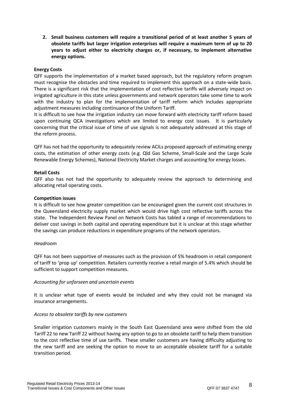**2. Small business customers will require a transitional period of at least another 5 years of obsolete tariffs but larger irrigation enterprises will require a maximum term of up to 20 years to adjust either to electricity charges or, if necessary, to implement alternative energy options.** 

# **Energy Costs**

QFF supports the implementation of a market based approach, but the regulatory reform program must recognise the obstacles and time required to implement this approach on a state-wide basis. There is a significant risk that the implementation of cost reflective tariffs will adversely impact on irrigated agriculture in this state unless governments and network operators take some time to work with the industry to plan for the implementation of tariff reform which includes appropriate adjustment measures including continuance of the Uniform Tariff.

It is difficult to see how the irrigation industry can move forward with electricity tariff reform based upon continuing QCA investigations which are limited to energy cost issues. It is particularly concerning that the critical issue of time of use signals is not adequately addressed at this stage of the reform process.

QFF has not had the opportunity to adequately review ACILs proposed approach of estimating energy costs, the estimation of other energy costs (e.g. Qld Gas Scheme, Small-Scale and the Large Scale Renewable Energy Schemes), National Electricity Market charges and accounting for energy losses.

# **Retail Costs**

QFF also has not had the opportunity to adequately review the approach to determining and allocating retail operating costs.

# **Competition issues**

It is difficult to see how greater competition can be encouraged given the current cost structures in the Queensland electricity supply market which would drive high cost reflective tariffs across the state. The Independent Review Panel on Network Costs has tabled a range of recommendations to deliver cost savings in both capital and operating expenditure but it is unclear at this stage whether the savings can produce reductions in expenditure programs of the network operators.

# *Headroom*

QFF has not been supportive of measures such as the provision of 5% headroom in retail component of tariff to 'prop up' competition. Retailers currently receive a retail margin of 5.4% which should be sufficient to support competition measures.

# *Accounting for unforseen and uncertain events*

It is unclear what type of events would be included and why they could not be managed via insurance arrangements.

# *Access to obsolete tariffs by new customers*

Smaller irrigation customers mainly in the South East Queensland area were shifted from the old Tariff 22 to new Tariff 22 without having any option to go to an obsolete tariff to help them transition to the cost reflective time of use tariffs. These smaller customers are having difficulty adjusting to the new tariff and are seeking the option to move to an acceptable obsolete tariff for a suitable transition period.